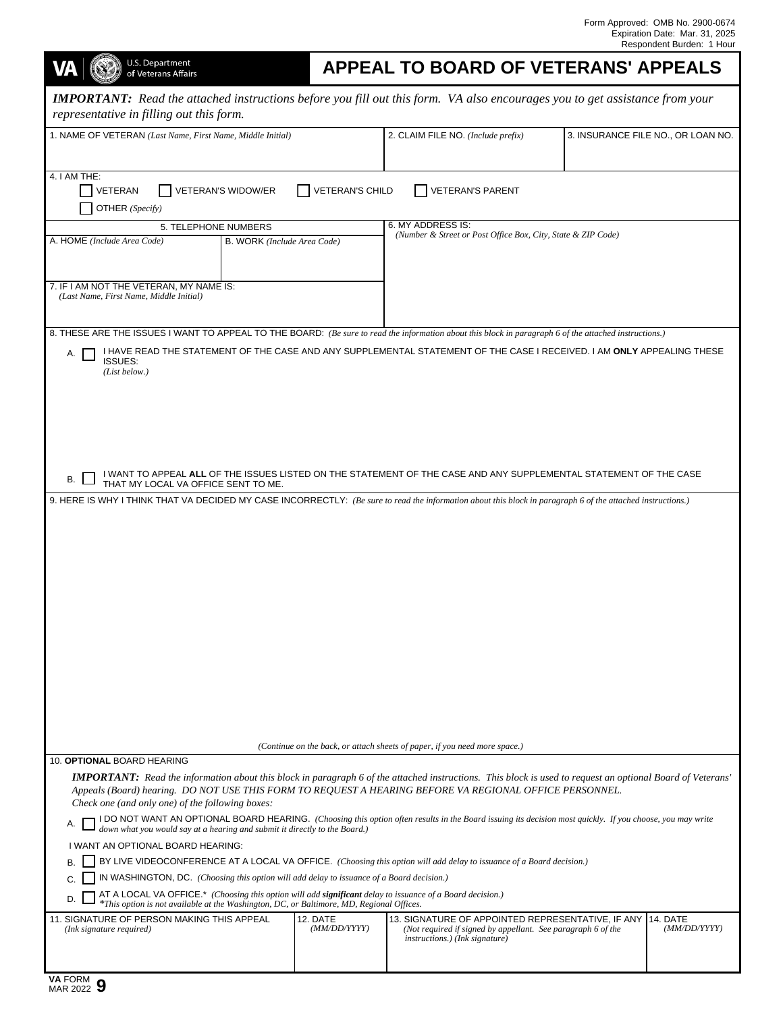| U.S. Department<br>of Veterans Affairs                                                                                                                                                                                                                                                                                           |                             |                                 | <b>Respondent Durgen.</b> Thour<br><b>APPEAL TO BOARD OF VETERANS' APPEALS</b>                                                                                       |  |                                    |  |
|----------------------------------------------------------------------------------------------------------------------------------------------------------------------------------------------------------------------------------------------------------------------------------------------------------------------------------|-----------------------------|---------------------------------|----------------------------------------------------------------------------------------------------------------------------------------------------------------------|--|------------------------------------|--|
| <b>IMPORTANT:</b> Read the attached instructions before you fill out this form. VA also encourages you to get assistance from your<br>representative in filling out this form.                                                                                                                                                   |                             |                                 |                                                                                                                                                                      |  |                                    |  |
| 1. NAME OF VETERAN (Last Name, First Name, Middle Initial)                                                                                                                                                                                                                                                                       |                             |                                 | 2. CLAIM FILE NO. (Include prefix)                                                                                                                                   |  | 3. INSURANCE FILE NO., OR LOAN NO. |  |
| 4. I AM THE:<br>VETERAN<br>OTHER (Specify)                                                                                                                                                                                                                                                                                       | VETERAN'S WIDOW/ER          | <b>VETERAN'S CHILD</b>          | <b>VETERAN'S PARENT</b>                                                                                                                                              |  |                                    |  |
| 5. TELEPHONE NUMBERS                                                                                                                                                                                                                                                                                                             |                             |                                 | 6. MY ADDRESS IS:                                                                                                                                                    |  |                                    |  |
| A. HOME (Include Area Code)                                                                                                                                                                                                                                                                                                      | B. WORK (Include Area Code) |                                 | (Number & Street or Post Office Box, City, State & ZIP Code)                                                                                                         |  |                                    |  |
| 7. IF I AM NOT THE VETERAN, MY NAME IS:<br>(Last Name, First Name, Middle Initial)                                                                                                                                                                                                                                               |                             |                                 |                                                                                                                                                                      |  |                                    |  |
| 8. THESE ARE THE ISSUES I WANT TO APPEAL TO THE BOARD: (Be sure to read the information about this block in paragraph 6 of the attached instructions.)                                                                                                                                                                           |                             |                                 |                                                                                                                                                                      |  |                                    |  |
| I HAVE READ THE STATEMENT OF THE CASE AND ANY SUPPLEMENTAL STATEMENT OF THE CASE I RECEIVED. I AM ONLY APPEALING THESE<br>А.<br><b>ISSUES:</b><br>(List below.)<br>I WANT TO APPEAL <b>ALL</b> OF THE ISSUES LISTED ON THE STATEMENT OF THE CASE AND ANY SUPPLEMENTAL STATEMENT OF THE CASE<br>В.                                |                             |                                 |                                                                                                                                                                      |  |                                    |  |
| THAT MY LOCAL VA OFFICE SENT TO ME.                                                                                                                                                                                                                                                                                              |                             |                                 |                                                                                                                                                                      |  |                                    |  |
|                                                                                                                                                                                                                                                                                                                                  |                             |                                 | (Continue on the back, or attach sheets of paper, if you need more space.)                                                                                           |  |                                    |  |
| 10. OPTIONAL BOARD HEARING                                                                                                                                                                                                                                                                                                       |                             |                                 |                                                                                                                                                                      |  |                                    |  |
| <b>IMPORTANT:</b> Read the information about this block in paragraph 6 of the attached instructions. This block is used to request an optional Board of Veterans'<br>Appeals (Board) hearing. DO NOT USE THIS FORM TO REQUEST A HEARING BEFORE VA REGIONAL OFFICE PERSONNEL.<br>Check one (and only one) of the following boxes: |                             |                                 |                                                                                                                                                                      |  |                                    |  |
| <b>I</b> I DO NOT WANT AN OPTIONAL BOARD HEARING. (Choosing this option often results in the Board issuing its decision most quickly. If you choose, you may write down what you would say at a hearing and submit it directly to t                                                                                              |                             |                                 |                                                                                                                                                                      |  |                                    |  |
| I WANT AN OPTIONAL BOARD HEARING:                                                                                                                                                                                                                                                                                                |                             |                                 |                                                                                                                                                                      |  |                                    |  |
| BY LIVE VIDEOCONFERENCE AT A LOCAL VA OFFICE. (Choosing this option will add delay to issuance of a Board decision.)<br>IN WASHINGTON, DC. (Choosing this option will add delay to issuance of a Board decision.)<br>C.                                                                                                          |                             |                                 |                                                                                                                                                                      |  |                                    |  |
| AT A LOCAL VA OFFICE.* (Choosing this option will add <b>significant</b> delay to issuance of a Board decision.) *This option is not available at the Washington, DC, or Baltimore, MD, Regional Offices.<br>D.                                                                                                                  |                             |                                 |                                                                                                                                                                      |  |                                    |  |
| 11. SIGNATURE OF PERSON MAKING THIS APPEAL<br>(Ink signature required)                                                                                                                                                                                                                                                           |                             | <b>12. DATE</b><br>(MM/DD/YYYY) | 13. SIGNATURE OF APPOINTED REPRESENTATIVE, IF ANY<br>(Not required if signed by appellant. See paragraph 6 of the<br><i>instructions.</i> ) ( <i>Ink signature</i> ) |  | <b>14. DATE</b><br>(MM/DD/YYYY)    |  |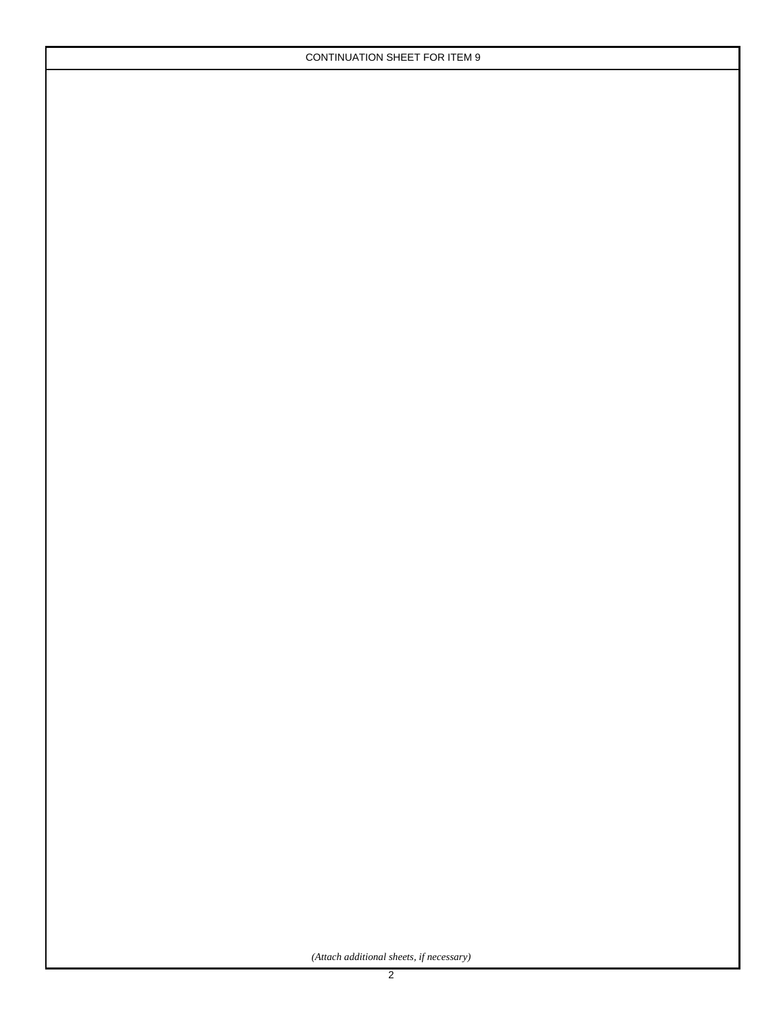## CONTINUATION SHEET FOR ITEM 9

*(Attach additional sheets, if necessary)*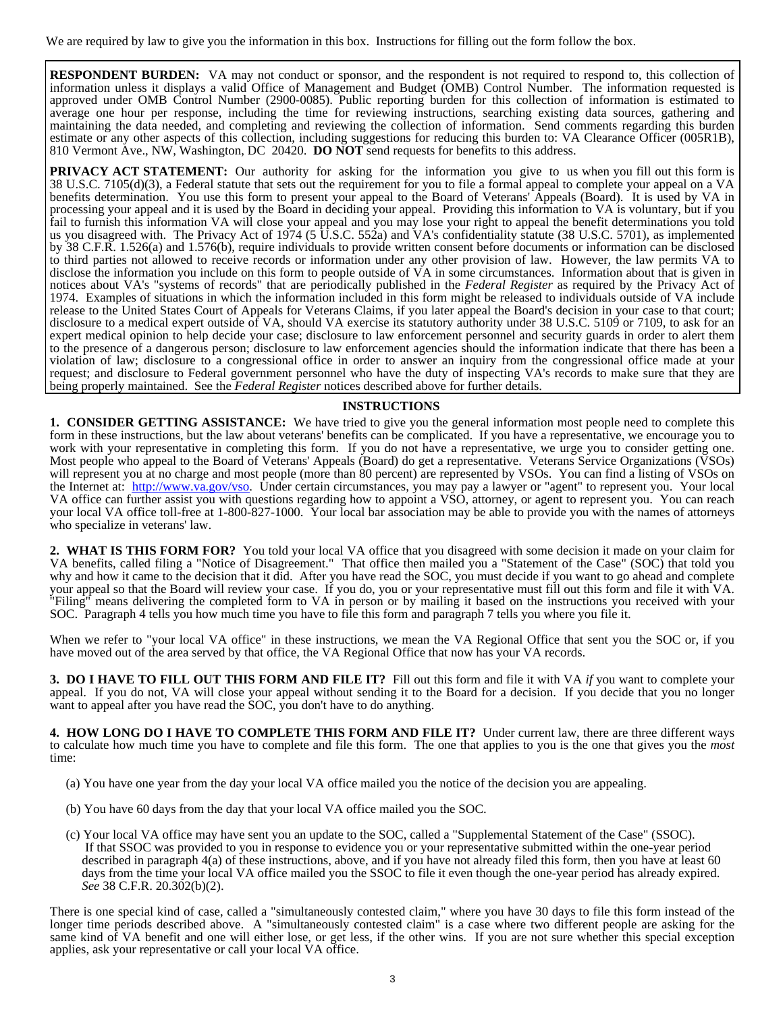We are required by law to give you the information in this box. Instructions for filling out the form follow the box.

**RESPONDENT BURDEN:** VA may not conduct or sponsor, and the respondent is not required to respond to, this collection of information unless it displays a valid Office of Management and Budget (OMB) Control Number. The information requested is approved under OMB Control Number (2900-0085). Public reporting burden for this collection of information is estimated to average one hour per response, including the time for reviewing instructions, searching existing data sources, gathering and maintaining the data needed, and completing and reviewing the collection of information. Send comments regarding this burden estimate or any other aspects of this collection, including suggestions for reducing this burden to: VA Clearance Officer (005R1B), 810 Vermont Ave., NW, Washington, DC 20420. **DO NOT** send requests for benefits to this address.

**PRIVACY ACT STATEMENT:** Our authority for asking for the information you give to us when you fill out this form is 38 U.S.C. 7105(d)(3), a Federal statute that sets out the requirement for you to file a formal appeal to complete your appeal on a VA benefits determination. You use this form to present your appeal to the Board of Veterans' Appeals (Board). It is used by VA in processing your appeal and it is used by the Board in deciding your appeal. Providing this information to VA is voluntary, but if you fail to furnish this information VA will close your appeal and you may lose your right to appeal the benefit determinations you told us you disagreed with. The Privacy Act of 1974 (5 U.S.C. 552a) and VA's confidentiality statute (38 U.S.C. 5701), as implemented by 38 C.F.R. 1.526(a) and 1.576(b), require individuals to provide written consent before documents or information can be disclosed to third parties not allowed to receive records or information under any other provision of law. However, the law permits VA to disclose the information you include on this form to people outside of VA in some circumstances. Information about that is given in notices about VA's "systems of records" that are periodically published in the *Federal Register* as required by the Privacy Act of 1974. Examples of situations in which the information included in this form might be released to individuals outside of VA include release to the United States Court of Appeals for Veterans Claims, if you later appeal the Board's decision in your case to that court; disclosure to a medical expert outside of VA, should VA exercise its statutory authority under 38 U.S.C. 5109 or 7109, to ask for an expert medical opinion to help decide your case; disclosure to law enforcement personnel and security guards in order to alert them to the presence of a dangerous person; disclosure to law enforcement agencies should the information indicate that there has been a violation of law; disclosure to a congressional office in order to answer an inquiry from the congressional office made at your request; and disclosure to Federal government personnel who have the duty of inspecting VA's records to make sure that they are being properly maintained. See the *Federal Register* notices described above for further details.

## **INSTRUCTIONS**

**1. CONSIDER GETTING ASSISTANCE:** We have tried to give you the general information most people need to complete this form in these instructions, but the law about veterans' benefits can be complicated. If you have a representative, we encourage you to work with your representative in completing this form. If you do not have a representative, we urge you to consider getting one. Most people who appeal to the Board of Veterans' Appeals (Board) do get a representative. Veterans Service Organizations (VSOs) will represent you at no charge and most people (more than 80 percent) are represented by VSOs. You can find a listing of VSOs on the Internet at: <http://www.va.gov/vso>. Under certain circumstances, you may pay a lawyer or "agent" to represent you. Your local VA office can further assist you with questions regarding how to appoint a VSO, attorney, or agent to represent you. You can reach your local VA office toll-free at 1-800-827-1000. Your local bar association may be able to provide you with the names of attorneys who specialize in veterans' law.

**2. WHAT IS THIS FORM FOR?** You told your local VA office that you disagreed with some decision it made on your claim for VA benefits, called filing a "Notice of Disagreement." That office then mailed you a "Statement of the Case" (SOC) that told you why and how it came to the decision that it did. After you have read the SOC, you must decide if you want to go ahead and complete your appeal so that the Board will review your case. If you do, you or your representative must fill out this form and file it with VA. "Filing" means delivering the completed form to VA in person or by mailing it based on the instructions you received with your SOC. Paragraph 4 tells you how much time you have to file this form and paragraph 7 tells you where you file it.

When we refer to "your local VA office" in these instructions, we mean the VA Regional Office that sent you the SOC or, if you have moved out of the area served by that office, the VA Regional Office that now has your VA records.

**3. DO I HAVE TO FILL OUT THIS FORM AND FILE IT?** Fill out this form and file it with VA *if* you want to complete your appeal. If you do not, VA will close your appeal without sending it to the Board for a decision. If you decide that you no longer want to appeal after you have read the SOC, you don't have to do anything.

**4. HOW LONG DO I HAVE TO COMPLETE THIS FORM AND FILE IT?** Under current law, there are three different ways to calculate how much time you have to complete and file this form. The one that applies to you is the one that gives you the *most* time:

- (a) You have one year from the day your local VA office mailed you the notice of the decision you are appealing.
- (b) You have 60 days from the day that your local VA office mailed you the SOC.
- (c) Your local VA office may have sent you an update to the SOC, called a "Supplemental Statement of the Case" (SSOC). If that SSOC was provided to you in response to evidence you or your representative submitted within the one-year period described in paragraph 4(a) of these instructions, above, and if you have not already filed this form, then you have at least 60 days from the time your local VA office mailed you the SSOC to file it even though the one-year period has already expired.  *See* 38 C.F.R. 20.302(b)(2).

There is one special kind of case, called a "simultaneously contested claim," where you have 30 days to file this form instead of the longer time periods described above. A "simultaneously contested claim" is a case where two different people are asking for the same kind of VA benefit and one will either lose, or get less, if the other wins. If you are not sure whether this special exception applies, ask your representative or call your local VA office.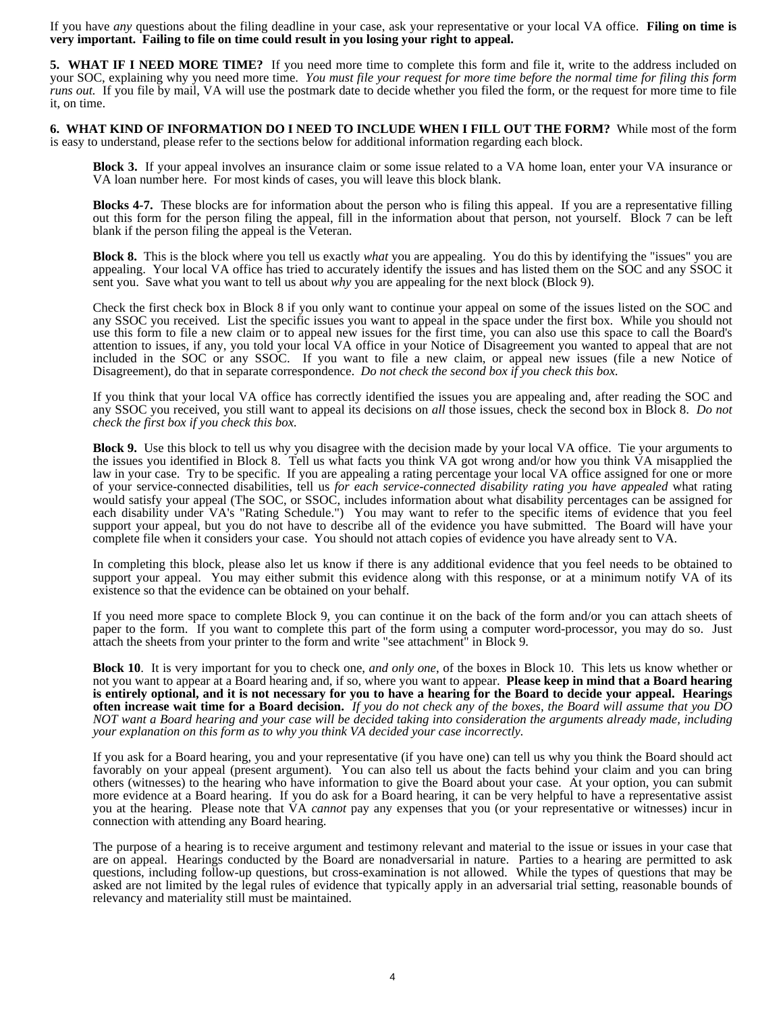If you have *any* questions about the filing deadline in your case, ask your representative or your local VA office. **Filing on time is very important. Failing to file on time could result in you losing your right to appeal.** 

**5. WHAT IF I NEED MORE TIME?** If you need more time to complete this form and file it, write to the address included on your SOC, explaining why you need more time. *You must file your request for more time before the normal time for filing this form runs out.* If you file by mail, VA will use the postmark date to decide whether you filed the form, or the request for more time to file it, on time.

**6. WHAT KIND OF INFORMATION DO I NEED TO INCLUDE WHEN I FILL OUT THE FORM?** While most of the form is easy to understand, please refer to the sections below for additional information regarding each block.

**Block 3.** If your appeal involves an insurance claim or some issue related to a VA home loan, enter your VA insurance or VA loan number here. For most kinds of cases, you will leave this block blank.

**Blocks 4-7.** These blocks are for information about the person who is filing this appeal. If you are a representative filling out this form for the person filing the appeal, fill in the information about that person, not yourself. Block 7 can be left blank if the person filing the appeal is the Veteran.

**Block 8.** This is the block where you tell us exactly *what* you are appealing. You do this by identifying the "issues" you are appealing. Your local VA office has tried to accurately identify the issues and has listed them on the SOC and any SSOC it sent you. Save what you want to tell us about *why* you are appealing for the next block (Block 9).

Check the first check box in Block 8 if you only want to continue your appeal on some of the issues listed on the SOC and any SSOC you received. List the specific issues you want to appeal in the space under the first box. While you should not use this form to file a new claim or to appeal new issues for the first time, you can also use this space to call the Board's attention to issues, if any, you told your local VA office in your Notice of Disagreement you wanted to appeal that are not included in the SOC or any SSOC. If you want to file a new claim, or appeal new issues (file a new Notice of Disagreement), do that in separate correspondence. *Do not check the second box if you check this box.* 

If you think that your local VA office has correctly identified the issues you are appealing and, after reading the SOC and any SSOC you received, you still want to appeal its decisions on *all* those issues, check the second box in Block 8. *Do not check the first box if you check this box.*

**Block 9.** Use this block to tell us why you disagree with the decision made by your local VA office. Tie your arguments to the issues you identified in Block 8. Tell us what facts you think VA got wrong and/or how you think VA misapplied the law in your case. Try to be specific. If you are appealing a rating percentage your local VA office assigned for one or more of your service-connected disabilities, tell us *for each service-connected disability rating you have appealed* what rating would satisfy your appeal (The SOC, or SSOC, includes information about what disability percentages can be assigned for each disability under VA's "Rating Schedule.") You may want to refer to the specific items of evidence that you feel support your appeal, but you do not have to describe all of the evidence you have submitted. The Board will have your complete file when it considers your case. You should not attach copies of evidence you have already sent to VA.

In completing this block, please also let us know if there is any additional evidence that you feel needs to be obtained to support your appeal. You may either submit this evidence along with this response, or at a minimum notify VA of its existence so that the evidence can be obtained on your behalf.

If you need more space to complete Block 9, you can continue it on the back of the form and/or you can attach sheets of paper to the form. If you want to complete this part of the form using a computer word-processor, you may do so. Just attach the sheets from your printer to the form and write "see attachment" in Block 9.

**Block 10**. It is very important for you to check one, *and only one*, of the boxes in Block 10. This lets us know whether or not you want to appear at a Board hearing and, if so, where you want to appear. **Please keep in mind that a Board hearing is entirely optional, and it is not necessary for you to have a hearing for the Board to decide your appeal. Hearings often increase wait time for a Board decision.** *If you do not check any of the boxes, the Board will assume that you DO NOT want a Board hearing and your case will be decided taking into consideration the arguments already made, including your explanation on this form as to why you think VA decided your case incorrectly.* 

If you ask for a Board hearing, you and your representative (if you have one) can tell us why you think the Board should act favorably on your appeal (present argument). You can also tell us about the facts behind your claim and you can bring others (witnesses) to the hearing who have information to give the Board about your case. At your option, you can submit more evidence at a Board hearing. If you do ask for a Board hearing, it can be very helpful to have a representative assist you at the hearing. Please note that VA *cannot* pay any expenses that you (or your representative or witnesses) incur in connection with attending any Board hearing.

The purpose of a hearing is to receive argument and testimony relevant and material to the issue or issues in your case that are on appeal. Hearings conducted by the Board are nonadversarial in nature. Parties to a hearing are permitted to ask questions, including follow-up questions, but cross-examination is not allowed. While the types of questions that may be asked are not limited by the legal rules of evidence that typically apply in an adversarial trial setting, reasonable bounds of relevancy and materiality still must be maintained.